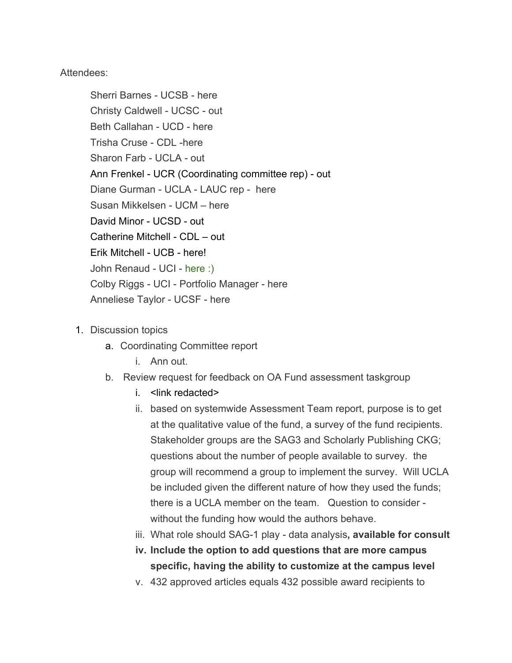Attendees:

Sherri Barnes - UCSB - here Christy Caldwell - UCSC - out Beth Callahan - UCD - here Trisha Cruse - CDL -here Sharon Farb - UCLA - out Ann Frenkel - UCR (Coordinating committee rep) - out Diane Gurman - UCLA - LAUC rep - here Susan Mikkelsen - UCM – here David Minor - UCSD - out Catherine Mitchell - CDL – out Erik Mitchell - UCB - here! John Renaud - UCI - here :) Colby Riggs - UCI - Portfolio Manager - here Anneliese Taylor - UCSF - here

- 1. Discussion topics
	- a. Coordinating Committee report
		- i. Ann out.
	- b. Review request for feedback on OA Fund assessment taskgroup
		- i <link redacted>
		- ii. based on systemwide Assessment Team report, purpose is to get at the qualitative value of the fund, a survey of the fund recipients. Stakeholder groups are the SAG3 and Scholarly Publishing CKG; questions about the number of people available to survey. the group will recommend a group to implement the survey. Will UCLA be included given the different nature of how they used the funds; there is a UCLA member on the team. Question to consider without the funding how would the authors behave.
		- iii. What role should SAG-1 play data analysis**, available for consult**
		- **iv. Include the option to add questions that are more campus specific, having the ability to customize at the campus level**
		- v. 432 approved articles equals 432 possible award recipients to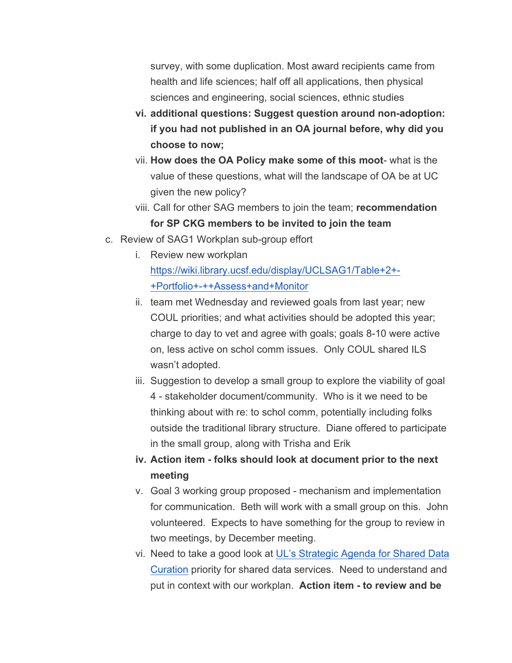survey, with some duplication. Most award recipients came from health and life sciences; half off all applications, then physical sciences and engineering, social sciences, ethnic studies

- **vi. additional questions: Suggest question around non-adoption: if you had not published in an OA journal before, why did you choose to now;**
- vii. **How does the OA Policy make some of this moot** what is the value of these questions, what will the landscape of OA be at UC given the new policy?
- viii. Call for other SAG members to join the team; **recommendation for SP CKG members to be invited to join the team**
- c. Review of SAG1 Workplan sub-group effort
	- i. Review new workplan https://wiki.library.ucsf.edu/display/UCLSAG1/Table+2+- +Portfolio+-++Assess+and+Monitor
	- ii. team met Wednesday and reviewed goals from last year; new COUL priorities; and what activities should be adopted this year; charge to day to vet and agree with goals; goals 8-10 were active on, less active on schol comm issues. Only COUL shared ILS wasn't adopted.
	- iii. Suggestion to develop a small group to explore the viability of goal 4 - stakeholder document/community. Who is it we need to be thinking about with re: to schol comm, potentially including folks outside the traditional library structure. Diane offered to participate in the small group, along with Trisha and Erik
	- **iv. Action item - folks should look at document prior to the next meeting**
	- v. Goal 3 working group proposed mechanism and implementation for communication. Beth will work with a small group on this. John volunteered. Expects to have something for the group to review in two meetings, by December meeting.
	- vi. Need to take a good look at UL's Strategic Agenda for Shared Data Curation priority for shared data services. Need to understand and put in context with our workplan. **Action item - to review and be**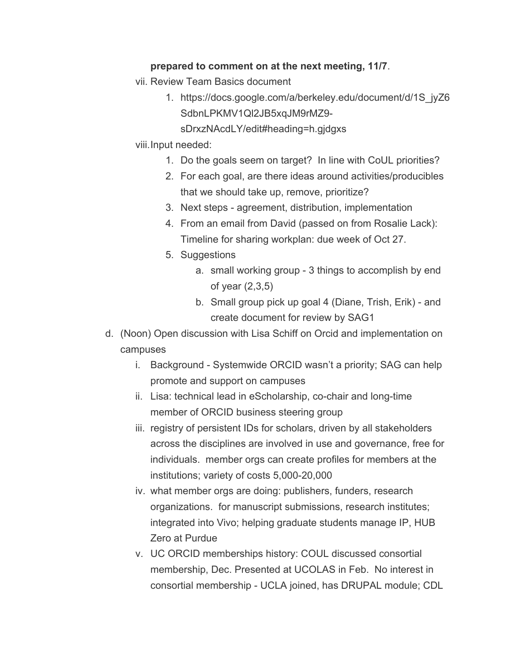## **prepared to comment on at the next meeting, 11/7**.

- vii. Review Team Basics document
	- 1. https://docs.google.com/a/berkeley.edu/document/d/1S\_jyZ6 SdbnLPKMV1Ql2JB5xqJM9rMZ9
		- sDrxzNAcdLY/edit#heading=h.gjdgxs
- viii.Input needed:
	- 1. Do the goals seem on target? In line with CoUL priorities?
	- 2. For each goal, are there ideas around activities/producibles that we should take up, remove, prioritize?
	- 3. Next steps agreement, distribution, implementation
	- 4. From an email from David (passed on from Rosalie Lack): Timeline for sharing workplan: due week of Oct 27.
	- 5. Suggestions
		- a. small working group 3 things to accomplish by end of year (2,3,5)
		- b. Small group pick up goal 4 (Diane, Trish, Erik) and create document for review by SAG1
- d. (Noon) Open discussion with Lisa Schiff on Orcid and implementation on campuses
	- i. Background Systemwide ORCID wasn't a priority; SAG can help promote and support on campuses
	- ii. Lisa: technical lead in eScholarship, co-chair and long-time member of ORCID business steering group
	- iii. registry of persistent IDs for scholars, driven by all stakeholders across the disciplines are involved in use and governance, free for individuals. member orgs can create profiles for members at the institutions; variety of costs 5,000-20,000
	- iv. what member orgs are doing: publishers, funders, research organizations. for manuscript submissions, research institutes; integrated into Vivo; helping graduate students manage IP, HUB Zero at Purdue
	- v. UC ORCID memberships history: COUL discussed consortial membership, Dec. Presented at UCOLAS in Feb. No interest in consortial membership - UCLA joined, has DRUPAL module; CDL